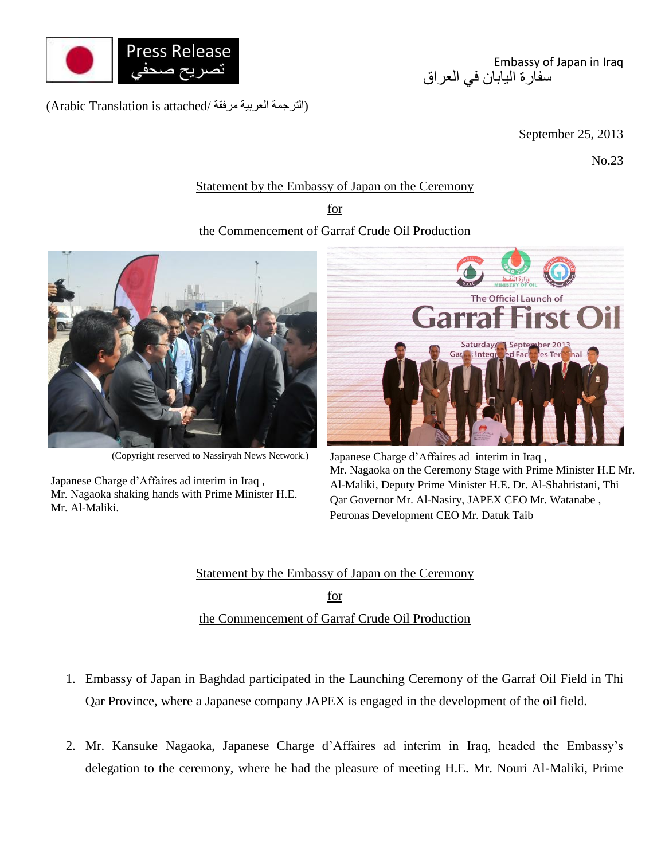

(الترجمة العربية مرفقة /Arabic Translation is attached)

Embassy of Japan in Iraq سفارة اليابان في العراق

September 25, 2013

No.23

## Statement by the Embassy of Japan on the Ceremony

for

## the Commencement of Garraf Crude Oil Production



(Copyright reserved to Nassiryah News Network.)

Japanese Charge d'Affaires ad interim in Iraq , Mr. Nagaoka shaking hands with Prime Minister H.E. Mr. Al-Maliki.



Japanese Charge d'Affaires ad interim in Iraq , Mr. Nagaoka on the Ceremony Stage with Prime Minister H.E Mr. Al-Maliki, Deputy Prime Minister H.E. Dr. Al-Shahristani, Thi Qar Governor Mr. Al-Nasiry, JAPEX CEO Mr. Watanabe , Petronas Development CEO Mr. Datuk Taib

Statement by the Embassy of Japan on the Ceremony for the Commencement of Garraf Crude Oil Production

- 1. Embassy of Japan in Baghdad participated in the Launching Ceremony of the Garraf Oil Field in Thi Qar Province, where a Japanese company JAPEX is engaged in the development of the oil field.
- 2. Mr. Kansuke Nagaoka, Japanese Charge d'Affaires ad interim in Iraq, headed the Embassy's delegation to the ceremony, where he had the pleasure of meeting H.E. Mr. Nouri Al-Maliki, Prime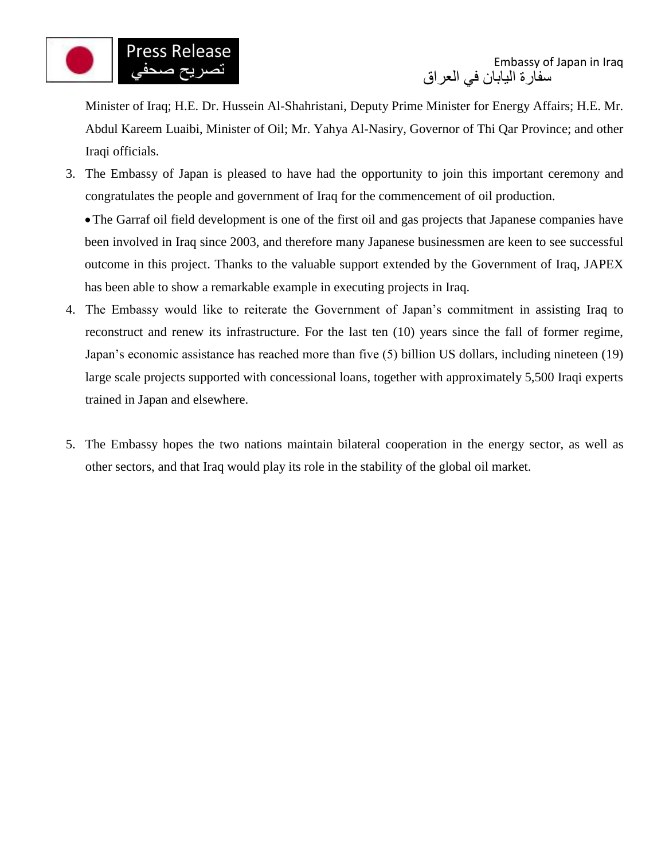

Minister of Iraq; H.E. Dr. Hussein Al-Shahristani, Deputy Prime Minister for Energy Affairs; H.E. Mr. Abdul Kareem Luaibi, Minister of Oil; Mr. Yahya Al-Nasiry, Governor of Thi Qar Province; and other Iraqi officials.

3. The Embassy of Japan is pleased to have had the opportunity to join this important ceremony and congratulates the people and government of Iraq for the commencement of oil production.

The Garraf oil field development is one of the first oil and gas projects that Japanese companies have been involved in Iraq since 2003, and therefore many Japanese businessmen are keen to see successful outcome in this project. Thanks to the valuable support extended by the Government of Iraq, JAPEX has been able to show a remarkable example in executing projects in Iraq.

- 4. The Embassy would like to reiterate the Government of Japan's commitment in assisting Iraq to reconstruct and renew its infrastructure. For the last ten (10) years since the fall of former regime, Japan's economic assistance has reached more than five (5) billion US dollars, including nineteen (19) large scale projects supported with concessional loans, together with approximately 5,500 Iraqi experts trained in Japan and elsewhere.
- 5. The Embassy hopes the two nations maintain bilateral cooperation in the energy sector, as well as other sectors, and that Iraq would play its role in the stability of the global oil market.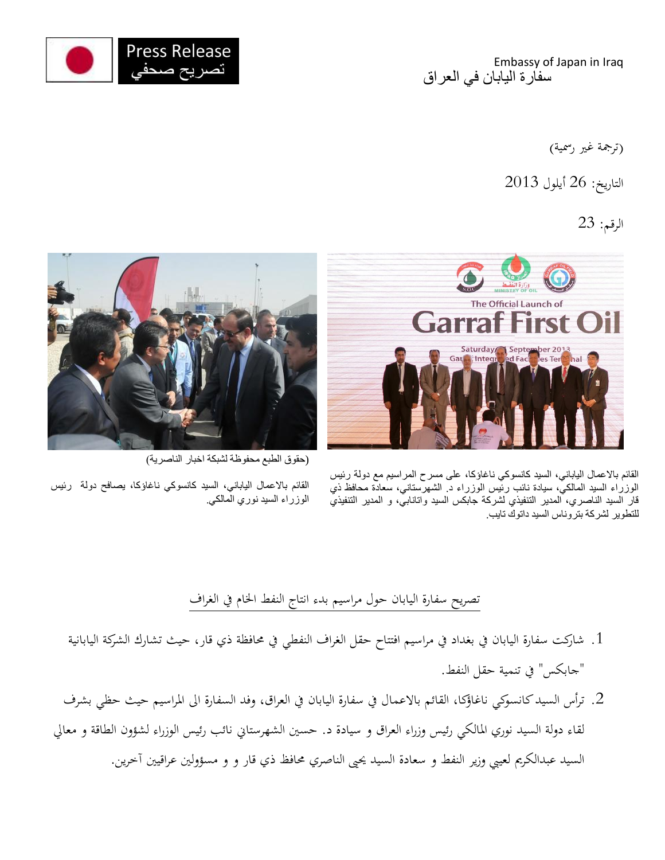

Embassy of Japan in Iraq سفارة اليابان في العراق

(ترجمة غير رسمية)

التاريخ: 26 أيلول 3102

## الرقم: 23







(حقوق الطبع محفوظة لشبكة اخبار الناصرية(

القائم باالعمال الياباني، السيد كانسوكي ناغاؤكا، يصافح دولة رئيس الوزراء السيد نوري المالكي.

## تصريح سفارة اليابان حول مراسيم بدء انتاج النفط اخلام يف الغراف

- .0 شاركت سفارة اليابان يف بغداد يف مراسيم افتتاح حقل الغراف النفطي يف حمافظة ذي قار، حيث تشارك الشركة اليابانية "جابكس" يف تنمية حقل النفط.
- 2. ترأس السيد كانسوكي ناغاؤكا، القائم بالاعمال في سفارة اليابان في العراق، وفد السفارة الى المراسيم حيث حظي بشرف لقاء دولة السيد نوري املالكي رئيس وزراء العراق و سيادة د. حسني الشهرستاين نائب رئيس الوزراء لشؤون الطاقة و معايل السيد عبدالكرمي لعييب وزير النفط و سعادة السيد حيىي الناصري حمافظ ذي قار و و مسؤولني عراقيني آخرين.